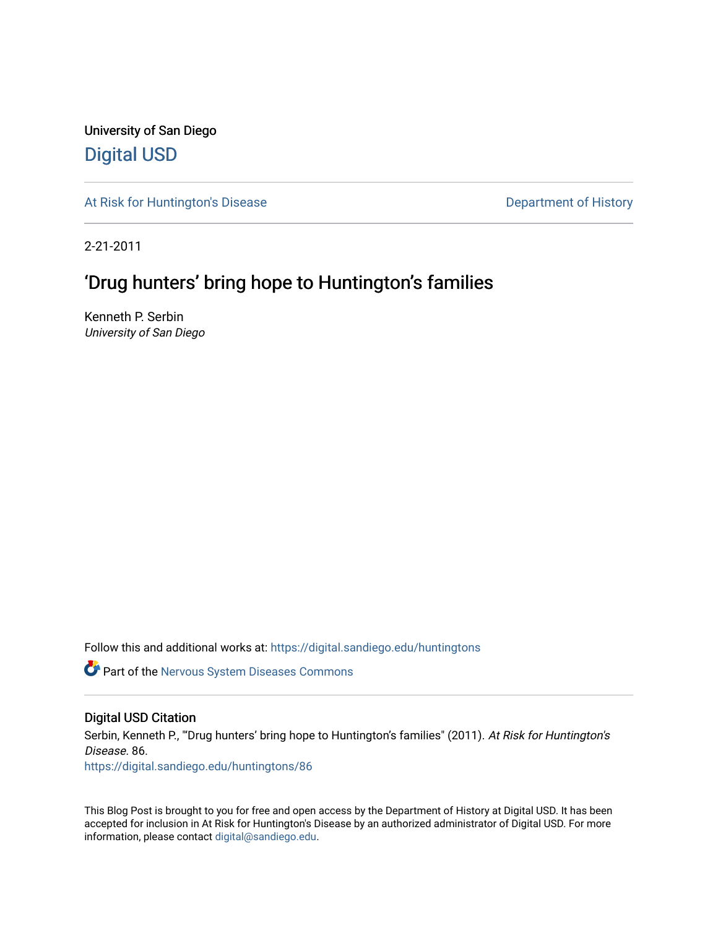University of San Diego [Digital USD](https://digital.sandiego.edu/)

[At Risk for Huntington's Disease](https://digital.sandiego.edu/huntingtons) **Department of History** Department of History

2-21-2011

# 'Drug hunters' bring hope to Huntington's families

Kenneth P. Serbin University of San Diego

Follow this and additional works at: [https://digital.sandiego.edu/huntingtons](https://digital.sandiego.edu/huntingtons?utm_source=digital.sandiego.edu%2Fhuntingtons%2F86&utm_medium=PDF&utm_campaign=PDFCoverPages)

**Part of the [Nervous System Diseases Commons](http://network.bepress.com/hgg/discipline/928?utm_source=digital.sandiego.edu%2Fhuntingtons%2F86&utm_medium=PDF&utm_campaign=PDFCoverPages)** 

# Digital USD Citation

Serbin, Kenneth P., "'Drug hunters' bring hope to Huntington's families" (2011). At Risk for Huntington's Disease. 86.

[https://digital.sandiego.edu/huntingtons/86](https://digital.sandiego.edu/huntingtons/86?utm_source=digital.sandiego.edu%2Fhuntingtons%2F86&utm_medium=PDF&utm_campaign=PDFCoverPages)

This Blog Post is brought to you for free and open access by the Department of History at Digital USD. It has been accepted for inclusion in At Risk for Huntington's Disease by an authorized administrator of Digital USD. For more information, please contact [digital@sandiego.edu.](mailto:digital@sandiego.edu)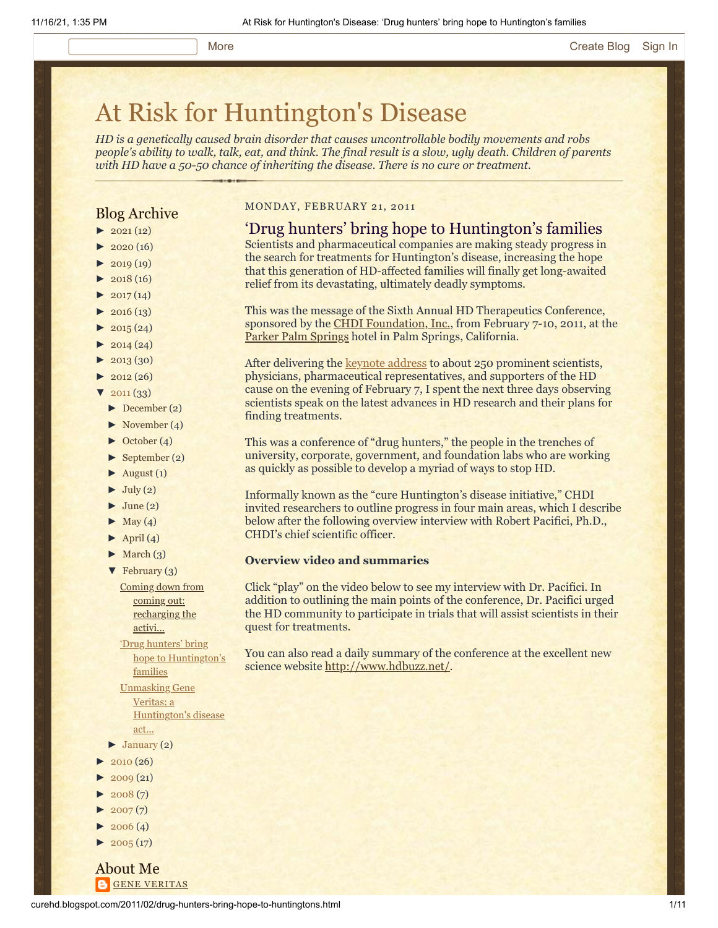# [At Risk for Huntington's Disease](http://curehd.blogspot.com/)

*HD is a genetically caused brain disorder that causes uncontrollable bodily movements and robs people's ability to walk, talk, eat, and think. The final result is a slow, ugly death. Children of parents with HD have a 50-50 chance of inheriting the disease. There is no cure or treatment.*

# Blog Archive

- $\blacktriangleright$  [2021](http://curehd.blogspot.com/2021/) (12)
- $2020(16)$  $2020(16)$
- $-2019(19)$  $-2019(19)$  $-2019(19)$
- $\blacktriangleright$  [2018](http://curehd.blogspot.com/2018/) (16)
- $2017(14)$  $2017(14)$
- $2016(13)$  $2016(13)$  $\blacktriangleright$  [2015](http://curehd.blogspot.com/2015/) (24)
- 
- $\blacktriangleright$  [2014](http://curehd.blogspot.com/2014/) (24)
- $\blacktriangleright$  [2013](http://curehd.blogspot.com/2013/) (30)
- $\blacktriangleright$  [2012](http://curehd.blogspot.com/2012/) (26)
- $2011(33)$  $2011(33)$
- [►](javascript:void(0)) [December](http://curehd.blogspot.com/2011/12/) (2)
- [►](javascript:void(0)) [November](http://curehd.blogspot.com/2011/11/) (4)
- [►](javascript:void(0)) [October](http://curehd.blogspot.com/2011/10/) (4)
- $\blacktriangleright$  [September](http://curehd.blogspot.com/2011/09/) (2)
- $\blacktriangleright$  [August](http://curehd.blogspot.com/2011/08/) (1)
- $\blacktriangleright$  [July](http://curehd.blogspot.com/2011/07/) (2)
- $\blacktriangleright$  [June](http://curehd.blogspot.com/2011/06/) (2)
- $\blacktriangleright$  [May](http://curehd.blogspot.com/2011/05/) (4)
- $\blacktriangleright$  [April](http://curehd.blogspot.com/2011/04/) (4)
- $\blacktriangleright$  [March](http://curehd.blogspot.com/2011/03/) (3)
- $\blacktriangledown$  [February](http://curehd.blogspot.com/2011/02/) (3)

Coming down from coming out: [recharging](http://curehd.blogspot.com/2011/02/coming-down-from-coming-out-recharging.html) the activi...

'Drug hunters' bring hope to [Huntington's](http://curehd.blogspot.com/2011/02/drug-hunters-bring-hope-to-huntingtons.html) families

Unmasking Gene Veritas: a [Huntington's](http://curehd.blogspot.com/2011/02/unmasking-gene-veritas-huntingtons.html) disease act...

- $\blacktriangleright$  [January](http://curehd.blogspot.com/2011/01/) (2)
- $\blacktriangleright$  [2010](http://curehd.blogspot.com/2010/) (26)
- $2009(21)$  $2009(21)$
- $2008(7)$  $2008(7)$
- $\blacktriangleright$  [2007](http://curehd.blogspot.com/2007/) $(7)$
- $-2006(4)$  $-2006(4)$  $-2006(4)$
- $2005(17)$  $2005(17)$

About Me **GENE [VERITAS](https://www.blogger.com/profile/10911736205741688185)** 

#### MONDAY, FEBRUARY 21, 2011

# 'Drug hunters' bring hope to Huntington's families

Scientists and pharmaceutical companies are making steady progress in the search for treatments for Huntington's disease, increasing the hope that this generation of HD-affected families will finally get long-awaited relief from its devastating, ultimately deadly symptoms.

This was the message of the Sixth Annual HD Therapeutics Conference, sponsored by the [CHDI Foundation, Inc.](http://www.highqfoundation.org/index.php), from February 7-10, 2011, at the [Parker Palm Springs](http://www.theparkerpalmsprings.com/index.php) hotel in Palm Springs, California.

After delivering the **keynote address** to about 250 prominent scientists, physicians, pharmaceutical representatives, and supporters of the HD cause on the evening of February 7, I spent the next three days observing scientists speak on the latest advances in HD research and their plans for finding treatments.

This was a conference of "drug hunters," the people in the trenches of university, corporate, government, and foundation labs who are working as quickly as possible to develop a myriad of ways to stop HD.

Informally known as the "cure Huntington's disease initiative," CHDI invited researchers to outline progress in four main areas, which I describe below after the following overview interview with Robert Pacifici, Ph.D., CHDI's chief scientific officer.

### **Overview video and summaries**

Click "play" on the video below to see my interview with Dr. Pacifici. In addition to outlining the main points of the conference, Dr. Pacifici urged the HD community to participate in trials that will assist scientists in their quest for treatments.

You can also read a daily summary of the conference at the excellent new science website [http://www.hdbuzz.net/.](http://www.hdbuzz.net/)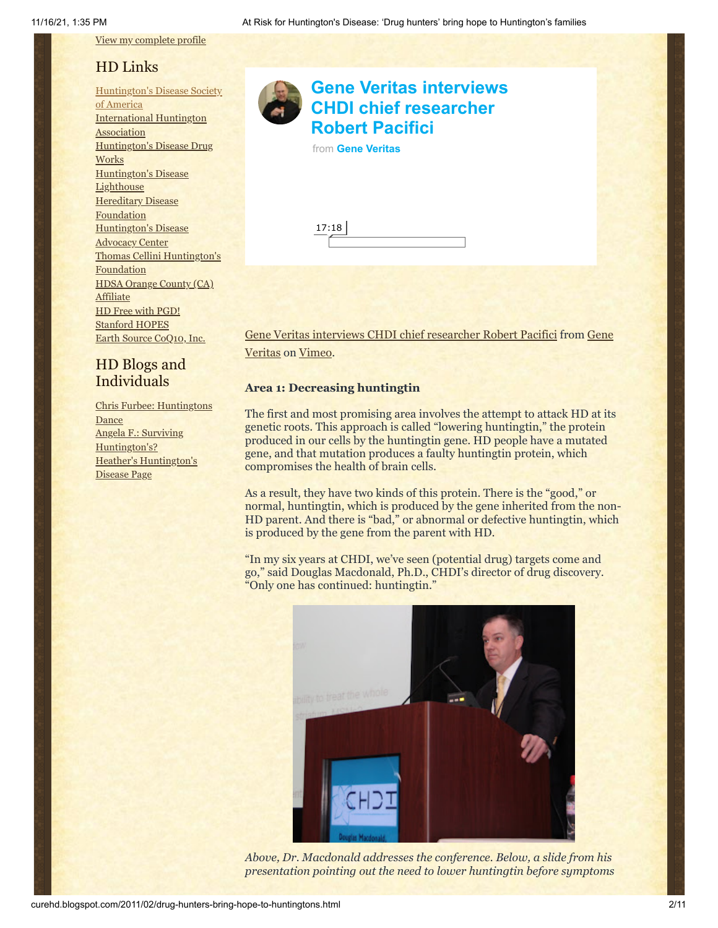View my [complete](https://www.blogger.com/profile/10911736205741688185) profile

# HD Links

[Huntington's](http://www.hdsa.org/) Disease Society of America [International](http://www.huntington-assoc.com/) Huntington **Association** [Huntington's](http://hddrugworks.org/) Disease Drug **Works** [Huntington's](http://www.hdlighthouse.org/) Disease **Lighthouse Hereditary Disease [Foundation](http://www.hdfoundation.org/)** [Huntington's](http://www.hdac.org/) Disease Advocacy Center Thomas [Cellini Huntington's](http://www.ourtchfoundation.org/) **Foundation** HDSA Orange County (CA) **[Affiliate](http://www.hdsaoc.org/)** HD Free with [PGD!](http://www.hdfreewithpgd.com/) [Stanford](http://www.stanford.edu/group/hopes/) HOPES Earth Source [CoQ10,](http://www.escoq10.com/) Inc.

# HD Blogs and Individuals

Chris Furbee: [Huntingtons](http://www.huntingtonsdance.org/) **Dance** Angela F.: Surviving [Huntington's?](http://survivinghuntingtons.blogspot.com/) Heather's [Huntington's](http://heatherdugdale.angelfire.com/) Disease Page



# **[Gene Veritas interviews](https://vimeo.com/20158203?embedded=true&source=video_title&owner=6019843) CHDI chief researcher Robert Pacifici**

|  | from Gene Veritas |
|--|-------------------|
|  |                   |

[Gene Veritas interviews CHDI chief researcher Robert Pacifici from Gene](http://vimeo.com/user6019843) Veritas on [Vimeo](http://vimeo.com/).

# **Area 1: Decreasing huntingtin**

The first and most promising area involves the attempt to attack HD at its genetic roots. This approach is called "lowering huntingtin," the protein produced in our cells by the huntingtin gene. HD people have a mutated gene, and that mutation produces a faulty huntingtin protein, which compromises the health of brain cells.

As a result, they have two kinds of this protein. There is the "good," or normal, huntingtin, which is produced by the gene inherited from the non-HD parent. And there is "bad," or abnormal or defective huntingtin, which is produced by the gene from the parent with HD.

"In my six years at CHDI, we've seen (potential drug) targets come and go," said Douglas Macdonald, Ph.D., CHDI's director of drug discovery. "Only one has continued: huntingtin."



*Above, Dr. Macdonald addresses the conference. Below, a slide from his presentation pointing out the need to lower huntingtin before symptoms*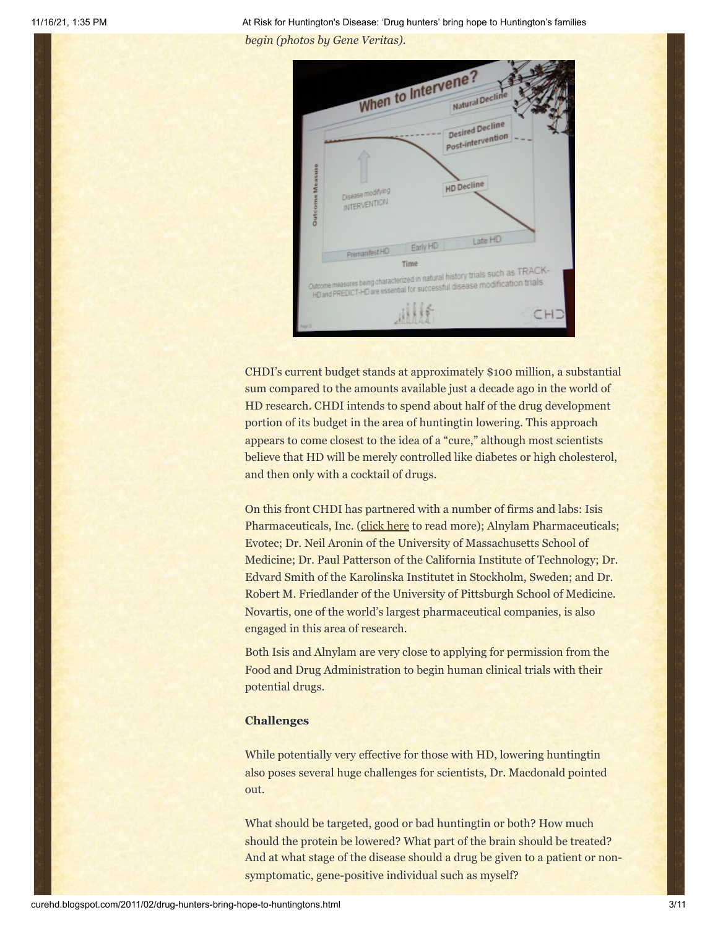

CHDI's current budget stands at approximately \$100 million, a substantial sum compared to the amounts available just a decade ago in the world of HD research. CHDI intends to spend about half of the drug development portion of its budget in the area of huntingtin lowering. This approach appears to come closest to the idea of a "cure," although most scientists believe that HD will be merely controlled like diabetes or high cholesterol, and then only with a cocktail of drugs.

On this front CHDI has partnered with a number of firms and labs: Isis Pharmaceuticals, Inc. ([click here](http://www.hdsasandiego.org/aev-41.aspx) to read more); Alnylam Pharmaceuticals; Evotec; Dr. Neil Aronin of the University of Massachusetts School of Medicine; Dr. Paul Patterson of the California Institute of Technology; Dr. Edvard Smith of the Karolinska Institutet in Stockholm, Sweden; and Dr. Robert M. Friedlander of the University of Pittsburgh School of Medicine. Novartis, one of the world's largest pharmaceutical companies, is also engaged in this area of research.

Both Isis and Alnylam are very close to applying for permission from the Food and Drug Administration to begin human clinical trials with their potential drugs.

### **Challenges**

While potentially very effective for those with HD, lowering huntingtin also poses several huge challenges for scientists, Dr. Macdonald pointed out.

What should be targeted, good or bad huntingtin or both? How much should the protein be lowered? What part of the brain should be treated? And at what stage of the disease should a drug be given to a patient or nonsymptomatic, gene-positive individual such as myself?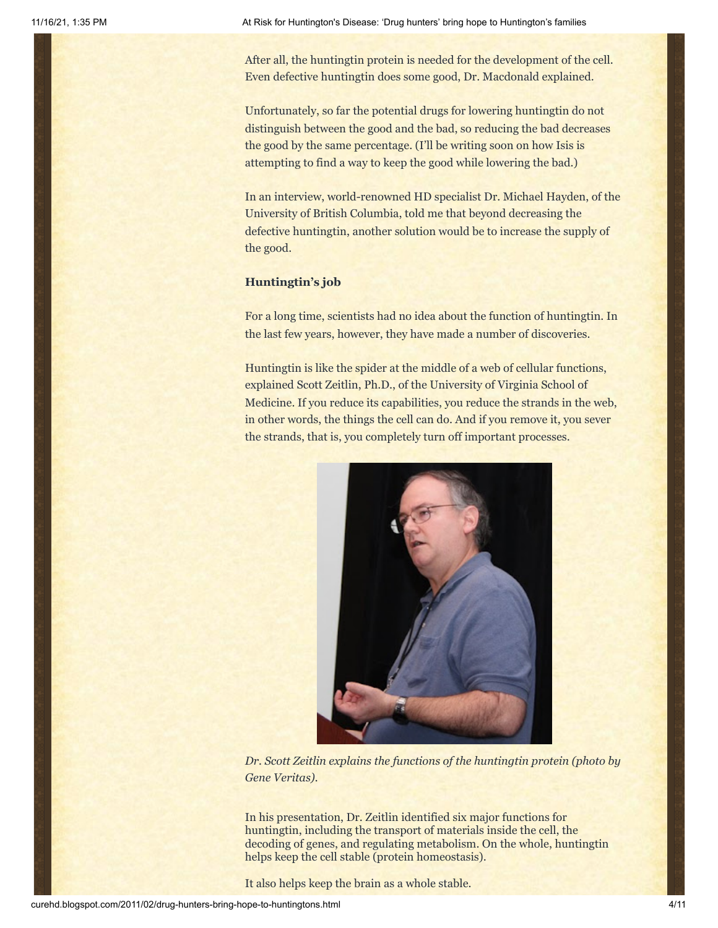After all, the huntingtin protein is needed for the development of the cell. Even defective huntingtin does some good, Dr. Macdonald explained.

Unfortunately, so far the potential drugs for lowering huntingtin do not distinguish between the good and the bad, so reducing the bad decreases the good by the same percentage. (I'll be writing soon on how Isis is attempting to find a way to keep the good while lowering the bad.)

In an interview, world-renowned HD specialist Dr. Michael Hayden, of the University of British Columbia, told me that beyond decreasing the defective huntingtin, another solution would be to increase the supply of the good.

### **Huntingtin's job**

For a long time, scientists had no idea about the function of huntingtin. In the last few years, however, they have made a number of discoveries.

Huntingtin is like the spider at the middle of a web of cellular functions, explained Scott Zeitlin, Ph.D., of the University of Virginia School of Medicine. If you reduce its capabilities, you reduce the strands in the web, in other words, the things the cell can do. And if you remove it, you sever the strands, that is, you completely turn off important processes.



*Dr. Scott Zeitlin explains the functions of the huntingtin protein (photo by Gene Veritas).*

In his presentation, Dr. Zeitlin identified six major functions for huntingtin, including the transport of materials inside the cell, the decoding of genes, and regulating metabolism. On the whole, huntingtin helps keep the cell stable (protein homeostasis).

It also helps keep the brain as a whole stable.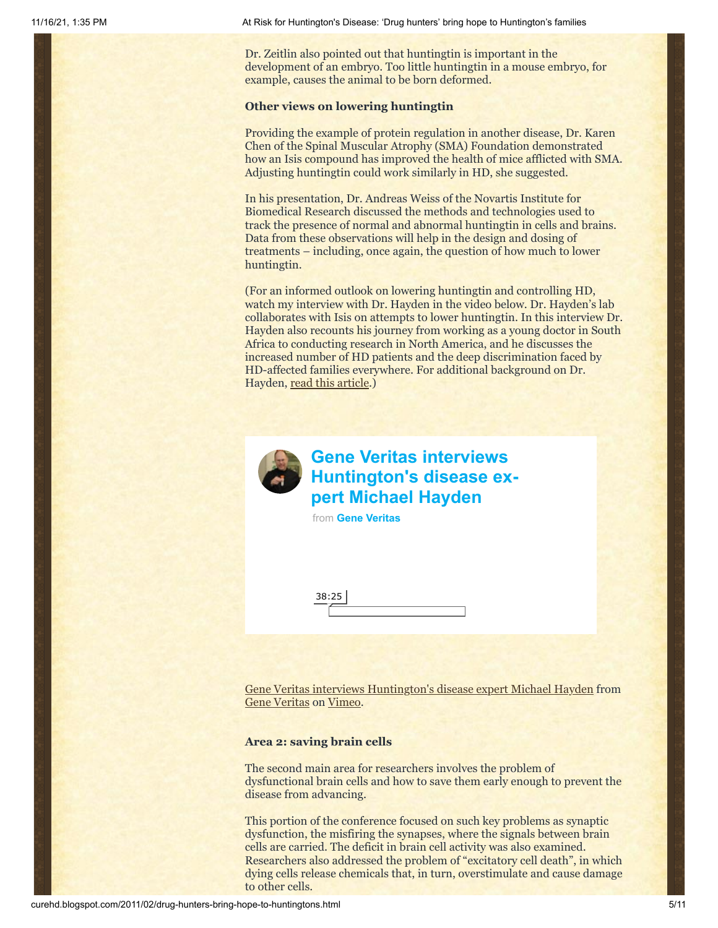Dr. Zeitlin also pointed out that huntingtin is important in the development of an embryo. Too little huntingtin in a mouse embryo, for example, causes the animal to be born deformed.

#### **Other views on lowering huntingtin**

Providing the example of protein regulation in another disease, Dr. Karen Chen of the Spinal Muscular Atrophy (SMA) Foundation demonstrated how an Isis compound has improved the health of mice afflicted with SMA. Adjusting huntingtin could work similarly in HD, she suggested.

In his presentation, Dr. Andreas Weiss of the Novartis Institute for Biomedical Research discussed the methods and technologies used to track the presence of normal and abnormal huntingtin in cells and brains. Data from these observations will help in the design and dosing of treatments – including, once again, the question of how much to lower huntingtin.

(For an informed outlook on lowering huntingtin and controlling HD, watch my interview with Dr. Hayden in the video below. Dr. Hayden's lab collaborates with Isis on attempts to lower huntingtin. In this interview Dr. Hayden also recounts his journey from working as a young doctor in South Africa to conducting research in North America, and he discusses the increased number of HD patients and the deep discrimination faced by HD-affected families everywhere. For additional background on Dr. Hayden, [read this article.](http://www.theglobeandmail.com/report-on-business/25/michael-hayden-has-hope-for-a-huntingtons-cure/article1811595/))



# **Gene Veritas interviews [Huntington's disease ex](https://vimeo.com/20190556?embedded=true&source=video_title&owner=6019843)pert Michael Hayden**

from **[Gene Veritas](https://vimeo.com/user6019843?embedded=true&source=owner_name&owner=6019843)**

[Gene Veritas interviews Huntington's disease expert Michael Hayden](http://vimeo.com/20190556) from [Gene Veritas](http://vimeo.com/user6019843) on [Vimeo.](http://vimeo.com/)

#### **Area 2: saving brain cells**

The second main area for researchers involves the problem of dysfunctional brain cells and how to save them early enough to prevent the disease from advancing.

This portion of the conference focused on such key problems as synaptic dysfunction, the misfiring the synapses, where the signals between brain cells are carried. The deficit in brain cell activity was also examined. Researchers also addressed the problem of "excitatory cell death", in which dying cells release chemicals that, in turn, overstimulate and cause damage to other cells.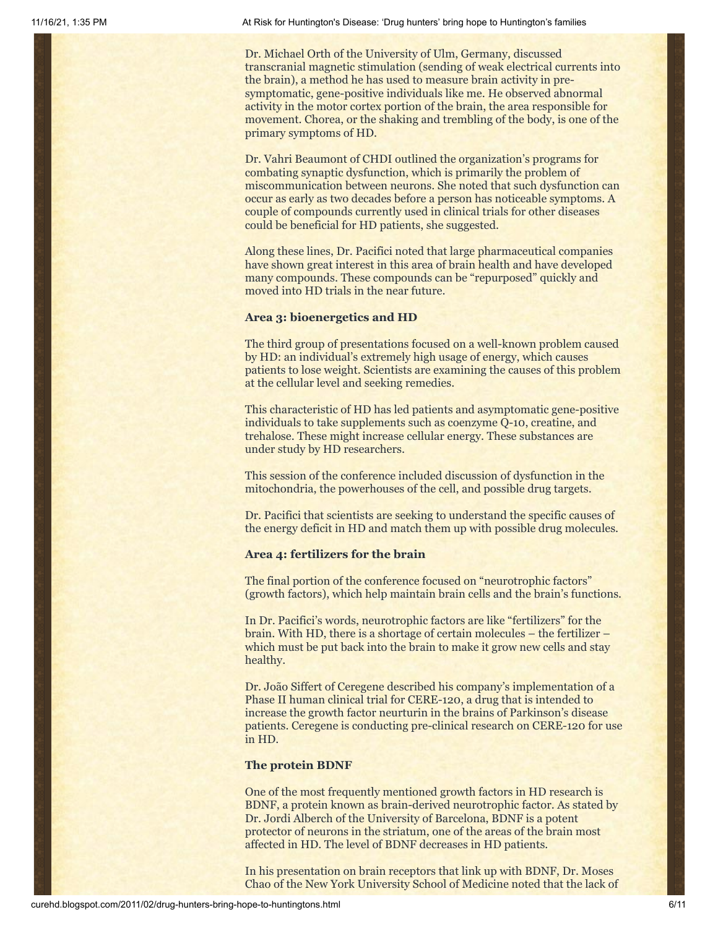Dr. Michael Orth of the University of Ulm, Germany, discussed transcranial magnetic stimulation (sending of weak electrical currents into the brain), a method he has used to measure brain activity in presymptomatic, gene-positive individuals like me. He observed abnormal activity in the motor cortex portion of the brain, the area responsible for movement. Chorea, or the shaking and trembling of the body, is one of the primary symptoms of HD.

Dr. Vahri Beaumont of CHDI outlined the organization's programs for combating synaptic dysfunction, which is primarily the problem of miscommunication between neurons. She noted that such dysfunction can occur as early as two decades before a person has noticeable symptoms. A couple of compounds currently used in clinical trials for other diseases could be beneficial for HD patients, she suggested.

Along these lines, Dr. Pacifici noted that large pharmaceutical companies have shown great interest in this area of brain health and have developed many compounds. These compounds can be "repurposed" quickly and moved into HD trials in the near future.

#### **Area 3: bioenergetics and HD**

The third group of presentations focused on a well-known problem caused by HD: an individual's extremely high usage of energy, which causes patients to lose weight. Scientists are examining the causes of this problem at the cellular level and seeking remedies.

This characteristic of HD has led patients and asymptomatic gene-positive individuals to take supplements such as coenzyme Q-10, creatine, and trehalose. These might increase cellular energy. These substances are under study by HD researchers.

This session of the conference included discussion of dysfunction in the mitochondria, the powerhouses of the cell, and possible drug targets.

Dr. Pacifici that scientists are seeking to understand the specific causes of the energy deficit in HD and match them up with possible drug molecules.

### **Area 4: fertilizers for the brain**

The final portion of the conference focused on "neurotrophic factors" (growth factors), which help maintain brain cells and the brain's functions.

In Dr. Pacifici's words, neurotrophic factors are like "fertilizers" for the brain. With HD, there is a shortage of certain molecules – the fertilizer – which must be put back into the brain to make it grow new cells and stay healthy.

Dr. João Siffert of Ceregene described his company's implementation of a Phase II human clinical trial for CERE-120, a drug that is intended to increase the growth factor neurturin in the brains of Parkinson's disease patients. Ceregene is conducting pre-clinical research on CERE-120 for use in HD.

#### **The protein BDNF**

One of the most frequently mentioned growth factors in HD research is BDNF, a protein known as brain-derived neurotrophic factor. As stated by Dr. Jordi Alberch of the University of Barcelona, BDNF is a potent protector of neurons in the striatum, one of the areas of the brain most affected in HD. The level of BDNF decreases in HD patients.

In his presentation on brain receptors that link up with BDNF, Dr. Moses Chao of the New York University School of Medicine noted that the lack of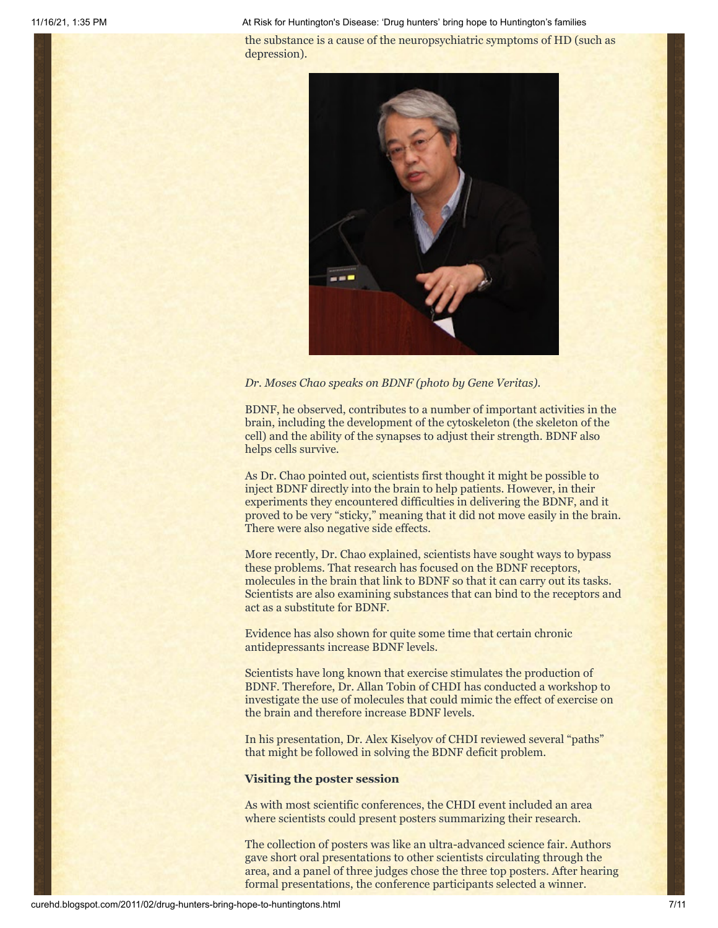the substance is a cause of the neuropsychiatric symptoms of HD (such as depression).



*Dr. Moses Chao speaks on BDNF (photo by Gene Veritas).*

BDNF, he observed, contributes to a number of important activities in the brain, including the development of the cytoskeleton (the skeleton of the cell) and the ability of the synapses to adjust their strength. BDNF also helps cells survive.

As Dr. Chao pointed out, scientists first thought it might be possible to inject BDNF directly into the brain to help patients. However, in their experiments they encountered difficulties in delivering the BDNF, and it proved to be very "sticky," meaning that it did not move easily in the brain. There were also negative side effects.

More recently, Dr. Chao explained, scientists have sought ways to bypass these problems. That research has focused on the BDNF receptors, molecules in the brain that link to BDNF so that it can carry out its tasks. Scientists are also examining substances that can bind to the receptors and act as a substitute for BDNF.

Evidence has also shown for quite some time that certain chronic antidepressants increase BDNF levels.

Scientists have long known that exercise stimulates the production of BDNF. Therefore, Dr. Allan Tobin of CHDI has conducted a workshop to investigate the use of molecules that could mimic the effect of exercise on the brain and therefore increase BDNF levels.

In his presentation, Dr. Alex Kiselyov of CHDI reviewed several "paths" that might be followed in solving the BDNF deficit problem.

#### **Visiting the poster session**

As with most scientific conferences, the CHDI event included an area where scientists could present posters summarizing their research.

The collection of posters was like an ultra-advanced science fair. Authors gave short oral presentations to other scientists circulating through the area, and a panel of three judges chose the three top posters. After hearing formal presentations, the conference participants selected a winner.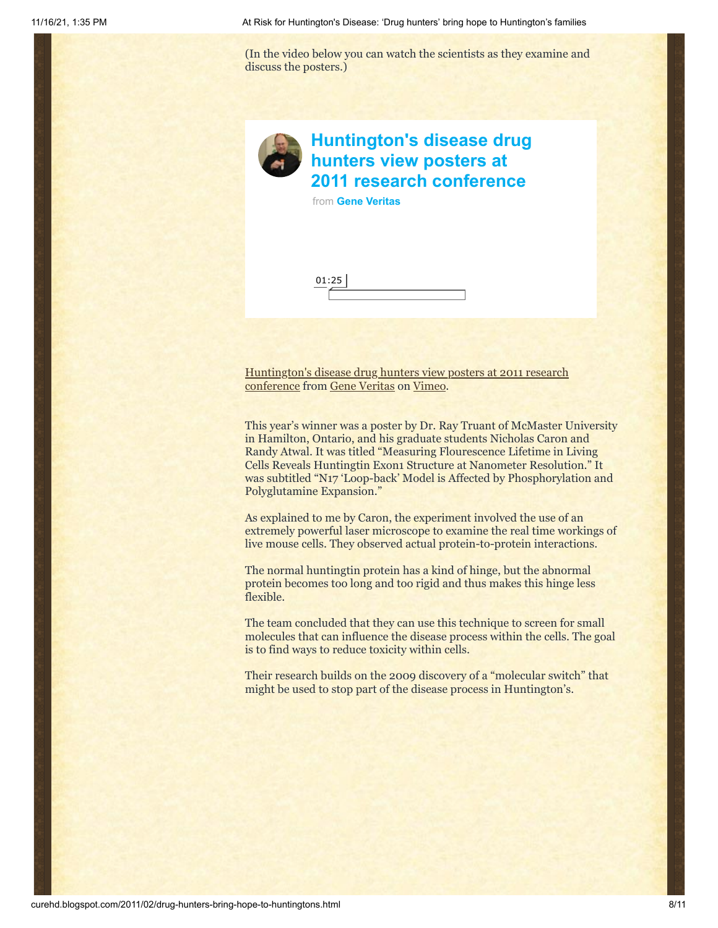(In the video below you can watch the scientists as they examine and discuss the posters.)



# **[Huntington's disease drug](https://vimeo.com/20092073?embedded=true&source=video_title&owner=6019843) hunters view posters at 2011 research conference**

from **[Gene Veritas](https://vimeo.com/user6019843?embedded=true&source=owner_name&owner=6019843)**



[Huntington's disease drug hunters view posters at 2011 research](http://vimeo.com/20092073) conference from [Gene Veritas](http://vimeo.com/user6019843) on [Vimeo.](http://vimeo.com/)

This year's winner was a poster by Dr. Ray Truant of McMaster University in Hamilton, Ontario, and his graduate students Nicholas Caron and Randy Atwal. It was titled "Measuring Flourescence Lifetime in Living Cells Reveals Huntingtin Exon1 Structure at Nanometer Resolution." It was subtitled "N17 'Loop-back' Model is Affected by Phosphorylation and Polyglutamine Expansion."

As explained to me by Caron, the experiment involved the use of an extremely powerful laser microscope to examine the real time workings of live mouse cells. They observed actual protein-to-protein interactions.

The normal huntingtin protein has a kind of hinge, but the abnormal protein becomes too long and too rigid and thus makes this hinge less flexible.

The team concluded that they can use this technique to screen for small molecules that can influence the disease process within the cells. The goal is to find ways to reduce toxicity within cells.

Their research builds on the 2009 discovery of a "molecular switch" that might be used to stop part of the disease process in Huntington's.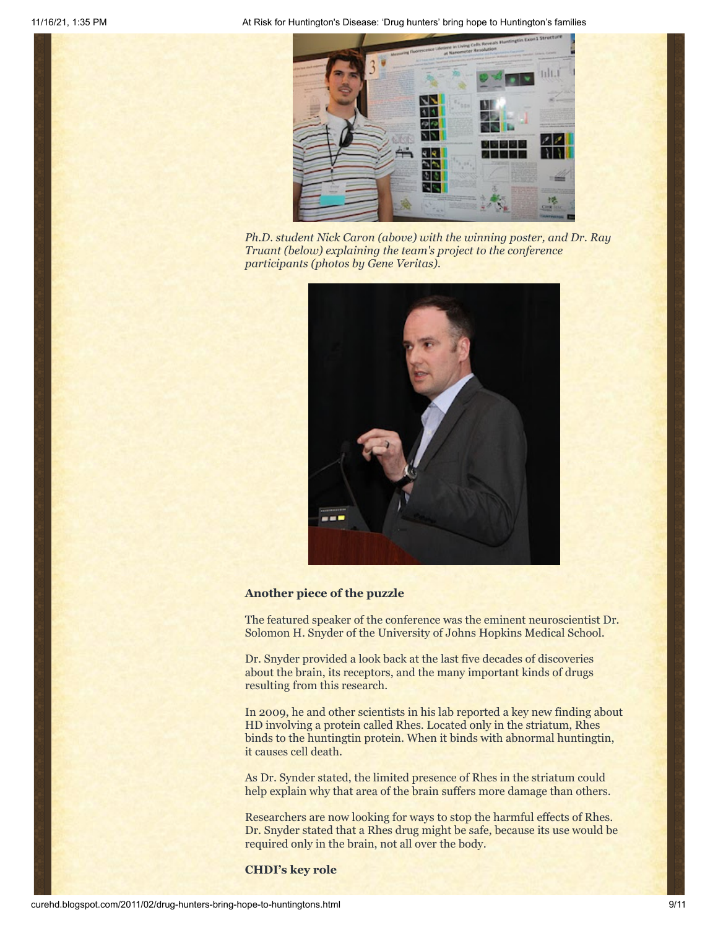

*Ph.D. student Nick Caron (above) with the winning poster, and Dr. Ray Truant (below) explaining the team's project to the conference participants (photos by Gene Veritas).*



### **Another piece of the puzzle**

The featured speaker of the conference was the eminent neuroscientist Dr. Solomon H. Snyder of the University of Johns Hopkins Medical School.

Dr. Snyder provided a look back at the last five decades of discoveries about the brain, its receptors, and the many important kinds of drugs resulting from this research.

In 2009, he and other scientists in his lab reported a key new finding about HD involving a protein called Rhes. Located only in the striatum, Rhes binds to the huntingtin protein. When it binds with abnormal huntingtin, it causes cell death.

As Dr. Synder stated, the limited presence of Rhes in the striatum could help explain why that area of the brain suffers more damage than others.

Researchers are now looking for ways to stop the harmful effects of Rhes. Dr. Snyder stated that a Rhes drug might be safe, because its use would be required only in the brain, not all over the body.

**CHDI's key role**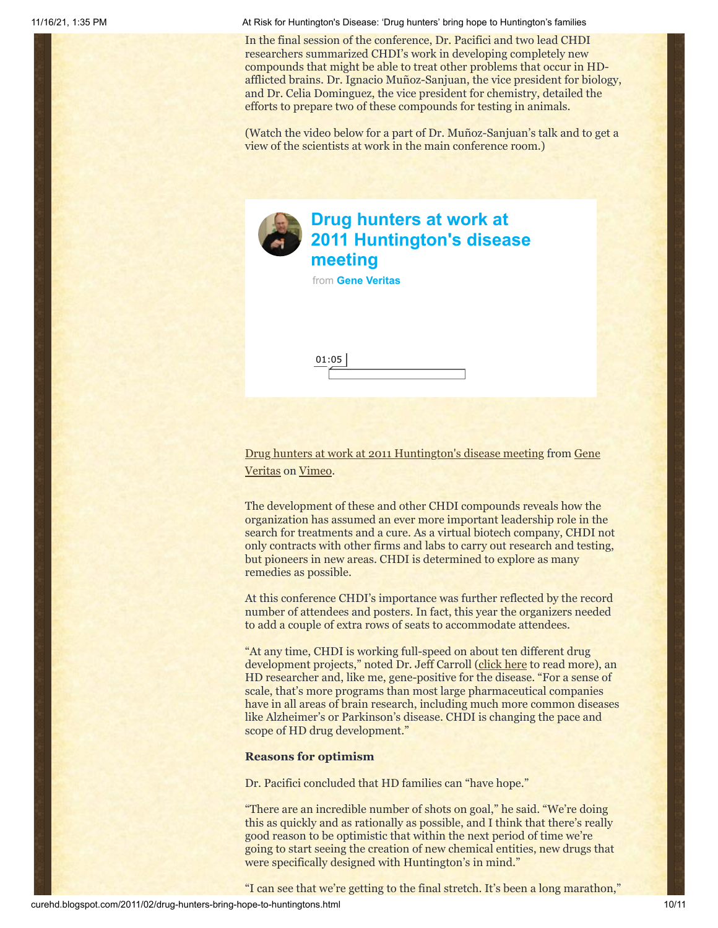In the final session of the conference, Dr. Pacifici and two lead CHDI researchers summarized CHDI's work in developing completely new compounds that might be able to treat other problems that occur in HDafflicted brains. Dr. Ignacio Muñoz-Sanjuan, the vice president for biology, and Dr. Celia Dominguez, the vice president for chemistry, detailed the efforts to prepare two of these compounds for testing in animals.

(Watch the video below for a part of Dr. Muñoz-Sanjuan's talk and to get a view of the scientists at work in the main conference room.)



# **Drug hunters at work at [2011 Huntington's disease](https://vimeo.com/20092020?embedded=true&source=video_title&owner=6019843) meeting**

from **[Gene Veritas](https://vimeo.com/user6019843?embedded=true&source=owner_name&owner=6019843)**

01:05

[Drug hunters at work at 2011 Huntington's disease meeting](http://vimeo.com/20092020) [from Gene](http://vimeo.com/user6019843) Veritas on [Vimeo](http://vimeo.com/).

The development of these and other CHDI compounds reveals how the organization has assumed an ever more important leadership role in the search for treatments and a cure. As a virtual biotech company, CHDI not only contracts with other firms and labs to carry out research and testing, but pioneers in new areas. CHDI is determined to explore as many remedies as possible.

At this conference CHDI's importance was further reflected by the record number of attendees and posters. In fact, this year the organizers needed to add a couple of extra rows of seats to accommodate attendees.

"At any time, CHDI is working full-speed on about ten different drug development projects," noted Dr. Jeff Carroll [\(click here](http://hdbuzz.net/19) to read more), an HD researcher and, like me, gene-positive for the disease. "For a sense of scale, that's more programs than most large pharmaceutical companies have in all areas of brain research, including much more common diseases like Alzheimer's or Parkinson's disease. CHDI is changing the pace and scope of HD drug development."

#### **Reasons for optimism**

Dr. Pacifici concluded that HD families can "have hope."

"There are an incredible number of shots on goal," he said. "We're doing this as quickly and as rationally as possible, and I think that there's really good reason to be optimistic that within the next period of time we're going to start seeing the creation of new chemical entities, new drugs that were specifically designed with Huntington's in mind."

"I can see that we're getting to the final stretch. It's been a long marathon,"